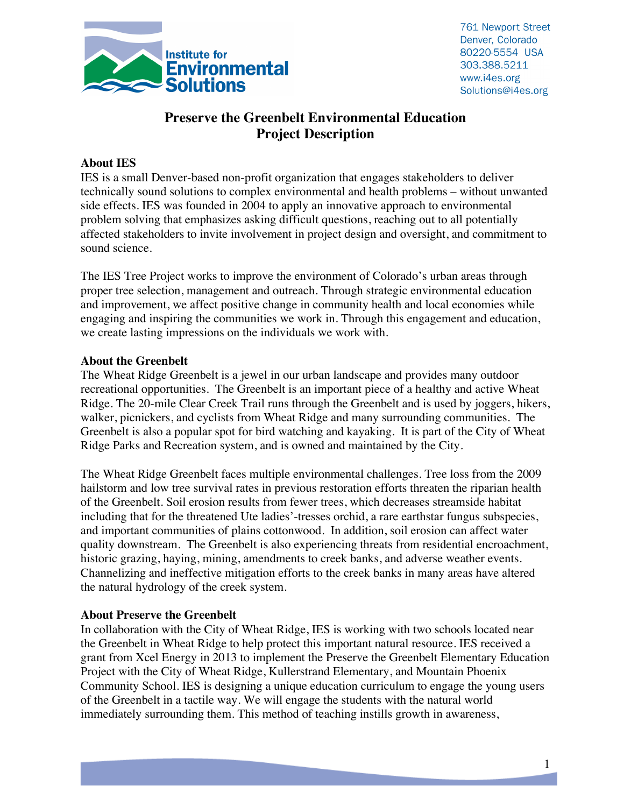

761 Newport Street Denver, Colorado 80220-5554 USA 303.388.5211 www.i4es.org Solutions@i4es.org

# **Preserve the Greenbelt Environmental Education Project Description**

#### **About IES**

IES is a small Denver-based non-profit organization that engages stakeholders to deliver technically sound solutions to complex environmental and health problems – without unwanted side effects. IES was founded in 2004 to apply an innovative approach to environmental problem solving that emphasizes asking difficult questions, reaching out to all potentially affected stakeholders to invite involvement in project design and oversight, and commitment to sound science.

The IES Tree Project works to improve the environment of Colorado's urban areas through proper tree selection, management and outreach. Through strategic environmental education and improvement, we affect positive change in community health and local economies while engaging and inspiring the communities we work in. Through this engagement and education, we create lasting impressions on the individuals we work with.

#### **About the Greenbelt**

The Wheat Ridge Greenbelt is a jewel in our urban landscape and provides many outdoor recreational opportunities. The Greenbelt is an important piece of a healthy and active Wheat Ridge. The 20-mile Clear Creek Trail runs through the Greenbelt and is used by joggers, hikers, walker, picnickers, and cyclists from Wheat Ridge and many surrounding communities. The Greenbelt is also a popular spot for bird watching and kayaking. It is part of the City of Wheat Ridge Parks and Recreation system, and is owned and maintained by the City.

The Wheat Ridge Greenbelt faces multiple environmental challenges. Tree loss from the 2009 hailstorm and low tree survival rates in previous restoration efforts threaten the riparian health of the Greenbelt. Soil erosion results from fewer trees, which decreases streamside habitat including that for the threatened Ute ladies'-tresses orchid, a rare earthstar fungus subspecies, and important communities of plains cottonwood. In addition, soil erosion can affect water quality downstream. The Greenbelt is also experiencing threats from residential encroachment, historic grazing, haying, mining, amendments to creek banks, and adverse weather events. Channelizing and ineffective mitigation efforts to the creek banks in many areas have altered the natural hydrology of the creek system.

#### **About Preserve the Greenbelt**

In collaboration with the City of Wheat Ridge, IES is working with two schools located near the Greenbelt in Wheat Ridge to help protect this important natural resource. IES received a grant from Xcel Energy in 2013 to implement the Preserve the Greenbelt Elementary Education Project with the City of Wheat Ridge, Kullerstrand Elementary, and Mountain Phoenix Community School. IES is designing a unique education curriculum to engage the young users of the Greenbelt in a tactile way. We will engage the students with the natural world immediately surrounding them. This method of teaching instills growth in awareness,